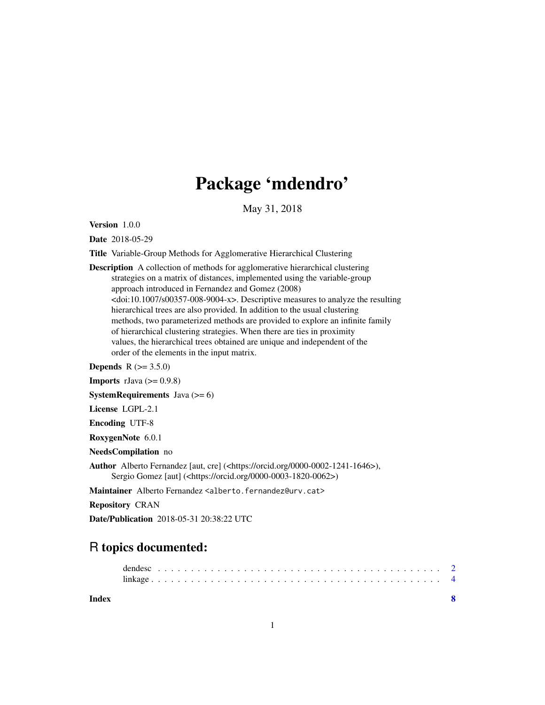## Package 'mdendro'

May 31, 2018

<span id="page-0-0"></span>Version 1.0.0

Date 2018-05-29

Title Variable-Group Methods for Agglomerative Hierarchical Clustering

Description A collection of methods for agglomerative hierarchical clustering strategies on a matrix of distances, implemented using the variable-group approach introduced in Fernandez and Gomez (2008) <doi:10.1007/s00357-008-9004-x>. Descriptive measures to analyze the resulting hierarchical trees are also provided. In addition to the usual clustering methods, two parameterized methods are provided to explore an infinite family of hierarchical clustering strategies. When there are ties in proximity values, the hierarchical trees obtained are unique and independent of the order of the elements in the input matrix.

**Depends** R  $(>= 3.5.0)$ 

**Imports** rJava  $(>= 0.9.8)$ 

**SystemRequirements** Java  $(>= 6)$ 

License LGPL-2.1

Encoding UTF-8

RoxygenNote 6.0.1

NeedsCompilation no

Author Alberto Fernandez [aut, cre] (<https://orcid.org/0000-0002-1241-1646>), Sergio Gomez [aut] (<https://orcid.org/0000-0003-1820-0062>)

Maintainer Alberto Fernandez <alberto.fernandez@urv.cat>

Repository CRAN

Date/Publication 2018-05-31 20:38:22 UTC

### R topics documented:

**Index** [8](#page-7-0) **8**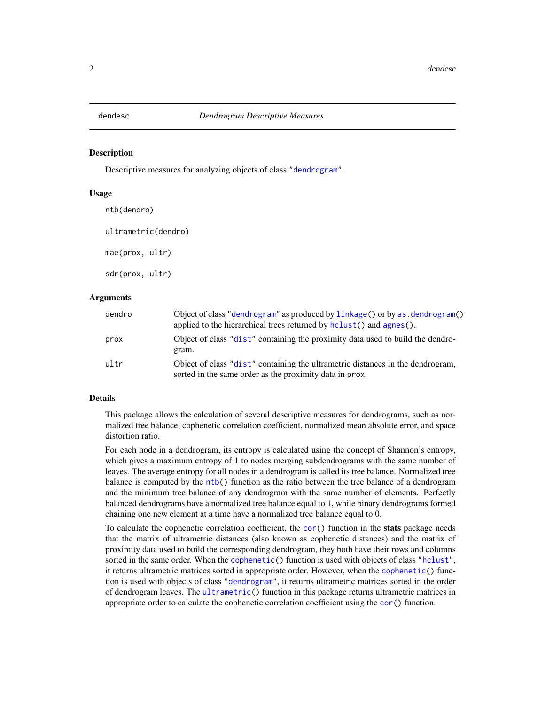<span id="page-1-2"></span><span id="page-1-0"></span>

#### <span id="page-1-1"></span>Description

Descriptive measures for analyzing objects of class ["dendrogram"](#page-0-0).

#### Usage

ntb(dendro) ultrametric(dendro) mae(prox, ultr)

sdr(prox, ultr)

#### Arguments

| dendro | Object of class "dendrogram" as produced by linkage () or by as . dendrogram ()<br>applied to the hierarchical trees returned by $hclust()$ and $agnes()$ . |
|--------|-------------------------------------------------------------------------------------------------------------------------------------------------------------|
| prox   | Object of class "dist" containing the proximity data used to build the dendro-<br>gram.                                                                     |
| ultr   | Object of class "dist" containing the ultrametric distances in the dendrogram,<br>sorted in the same order as the proximity data in prox.                   |

#### Details

This package allows the calculation of several descriptive measures for dendrograms, such as normalized tree balance, cophenetic correlation coefficient, normalized mean absolute error, and space distortion ratio.

For each node in a dendrogram, its entropy is calculated using the concept of Shannon's entropy, which gives a maximum entropy of 1 to nodes merging subdendrograms with the same number of leaves. The average entropy for all nodes in a dendrogram is called its tree balance. Normalized tree balance is computed by the [ntb\(](#page-1-1)) function as the ratio between the tree balance of a dendrogram and the minimum tree balance of any dendrogram with the same number of elements. Perfectly balanced dendrograms have a normalized tree balance equal to 1, while binary dendrograms formed chaining one new element at a time have a normalized tree balance equal to 0.

To calculate the cophenetic correlation coefficient, the [cor\(](#page-0-0)) function in the **stats** package needs that the matrix of ultrametric distances (also known as cophenetic distances) and the matrix of proximity data used to build the corresponding dendrogram, they both have their rows and columns sorted in the same order. When the [cophenetic\(](#page-0-0)) function is used with objects of class ["hclust"](#page-0-0), it returns ultrametric matrices sorted in appropriate order. However, when the [cophenetic\(](#page-0-0)) function is used with objects of class ["dendrogram"](#page-0-0), it returns ultrametric matrices sorted in the order of dendrogram leaves. The [ultrametric\(](#page-1-1)) function in this package returns ultrametric matrices in appropriate order to calculate the cophenetic correlation coefficient using the [cor\(](#page-0-0)) function.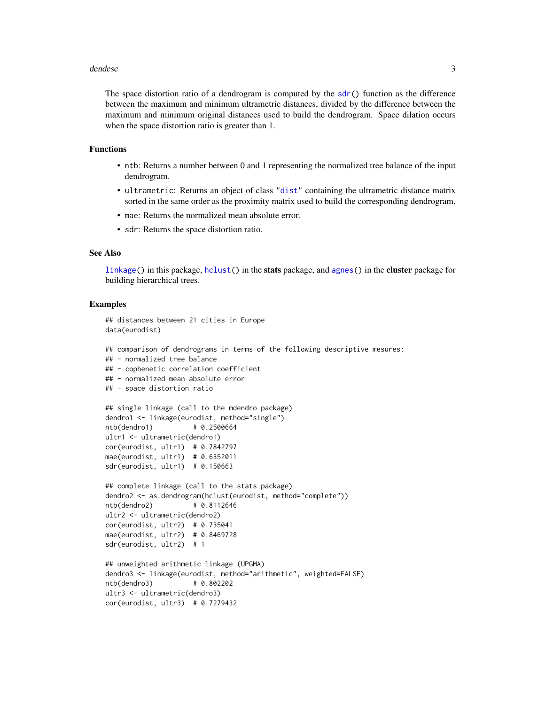#### <span id="page-2-0"></span>dendesc<sup>3</sup> and the set of the set of the set of the set of the set of the set of the set of the set of the set of the set of the set of the set of the set of the set of the set of the set of the set of the set of the set o

The space distortion ratio of a dendrogram is computed by the [sdr\(](#page-1-1)) function as the difference between the maximum and minimum ultrametric distances, divided by the difference between the maximum and minimum original distances used to build the dendrogram. Space dilation occurs when the space distortion ratio is greater than 1.

#### Functions

- ntb: Returns a number between 0 and 1 representing the normalized tree balance of the input dendrogram.
- ultrametric: Returns an object of class ["dist"](#page-0-0) containing the ultrametric distance matrix sorted in the same order as the proximity matrix used to build the corresponding dendrogram.
- mae: Returns the normalized mean absolute error.
- sdr: Returns the space distortion ratio.

#### See Also

[linkage\(](#page-3-1)) in this package, [hclust\(](#page-0-0)) in the stats package, and [agnes\(](#page-0-0)) in the cluster package for building hierarchical trees.

#### Examples

```
## distances between 21 cities in Europe
data(eurodist)
## comparison of dendrograms in terms of the following descriptive mesures:
## - normalized tree balance
## - cophenetic correlation coefficient
## - normalized mean absolute error
## - space distortion ratio
## single linkage (call to the mdendro package)
dendro1 <- linkage(eurodist, method="single")
ntb(dendro1) # 0.2500664
ultr1 <- ultrametric(dendro1)
cor(eurodist, ultr1) # 0.7842797
mae(eurodist, ultr1) # 0.6352011
sdr(eurodist, ultr1) # 0.150663
## complete linkage (call to the stats package)
dendro2 <- as.dendrogram(hclust(eurodist, method="complete"))
ntb(dendro2) # 0.8112646
ultr2 <- ultrametric(dendro2)
cor(eurodist, ultr2) # 0.735041
mae(eurodist, ultr2) # 0.8469728
sdr(eurodist, ultr2) # 1
## unweighted arithmetic linkage (UPGMA)
dendro3 <- linkage(eurodist, method="arithmetic", weighted=FALSE)
ntb(dendro3) # 0.802202
ultr3 <- ultrametric(dendro3)
cor(eurodist, ultr3) # 0.7279432
```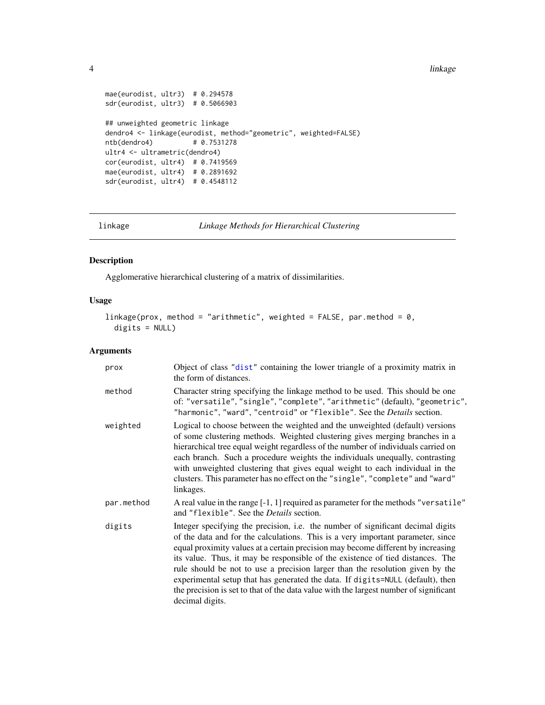#### <span id="page-3-0"></span>4 linkage blank om de staat in de staat 1990 en 1990 en 1990 en 1990 en 1990 en 1990 en 1990 en 1990 en 1990 e

```
mae(eurodist, ultr3) # 0.294578
sdr(eurodist, ultr3) # 0.5066903
## unweighted geometric linkage
dendro4 <- linkage(eurodist, method="geometric", weighted=FALSE)
ntb(dendro4)
ultr4 <- ultrametric(dendro4)
cor(eurodist, ultr4) # 0.7419569
mae(eurodist, ultr4) # 0.2891692
sdr(eurodist, ultr4) # 0.4548112
```
<span id="page-3-1"></span>linkage *Linkage Methods for Hierarchical Clustering*

#### Description

Agglomerative hierarchical clustering of a matrix of dissimilarities.

#### Usage

```
linkage(prox, method = "arithmetic", weighted = FALSE, par.method = 0,
  digits = NULL)
```
#### Arguments

| prox       | Object of class "dist" containing the lower triangle of a proximity matrix in<br>the form of distances.                                                                                                                                                                                                                                                                                                                                                                                                                                                                                                                 |  |  |  |
|------------|-------------------------------------------------------------------------------------------------------------------------------------------------------------------------------------------------------------------------------------------------------------------------------------------------------------------------------------------------------------------------------------------------------------------------------------------------------------------------------------------------------------------------------------------------------------------------------------------------------------------------|--|--|--|
| method     | Character string specifying the linkage method to be used. This should be one<br>of: "versatile", "single", "complete", "arithmetic" (default), "geometric",<br>"harmonic", "ward", "centroid" or "flexible". See the Details section.                                                                                                                                                                                                                                                                                                                                                                                  |  |  |  |
| weighted   | Logical to choose between the weighted and the unweighted (default) versions<br>of some clustering methods. Weighted clustering gives merging branches in a<br>hierarchical tree equal weight regardless of the number of individuals carried on<br>each branch. Such a procedure weights the individuals unequally, contrasting<br>with unweighted clustering that gives equal weight to each individual in the<br>clusters. This parameter has no effect on the "single", "complete" and "ward"<br>linkages.                                                                                                          |  |  |  |
| par.method | A real value in the range [-1, 1] required as parameter for the methods "versatile"<br>and "flexible". See the <i>Details</i> section.                                                                                                                                                                                                                                                                                                                                                                                                                                                                                  |  |  |  |
| digits     | Integer specifying the precision, i.e. the number of significant decimal digits<br>of the data and for the calculations. This is a very important parameter, since<br>equal proximity values at a certain precision may become different by increasing<br>its value. Thus, it may be responsible of the existence of tied distances. The<br>rule should be not to use a precision larger than the resolution given by the<br>experimental setup that has generated the data. If digits=NULL (default), then<br>the precision is set to that of the data value with the largest number of significant<br>decimal digits. |  |  |  |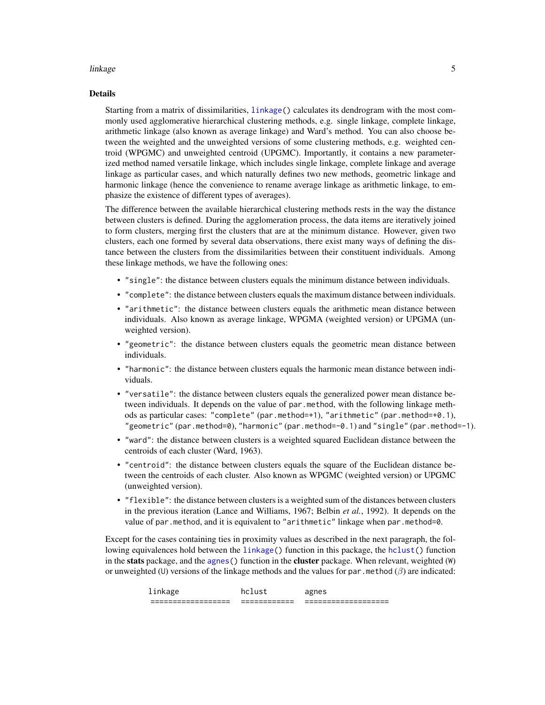#### <span id="page-4-0"></span>linkage 55 and 55 and 55 and 55 and 55 and 55 and 55 and 55 and 55 and 55 and 55 and 55 and 55 and 55 and 55 and 55 and 55 and 55 and 55 and 55 and 55 and 55 and 55 and 55 and 55 and 55 and 55 and 55 and 55 and 55 and 55 a

#### Details

Starting from a matrix of dissimilarities, [linkage\(](#page-3-1)) calculates its dendrogram with the most commonly used agglomerative hierarchical clustering methods, e.g. single linkage, complete linkage, arithmetic linkage (also known as average linkage) and Ward's method. You can also choose between the weighted and the unweighted versions of some clustering methods, e.g. weighted centroid (WPGMC) and unweighted centroid (UPGMC). Importantly, it contains a new parameterized method named versatile linkage, which includes single linkage, complete linkage and average linkage as particular cases, and which naturally defines two new methods, geometric linkage and harmonic linkage (hence the convenience to rename average linkage as arithmetic linkage, to emphasize the existence of different types of averages).

The difference between the available hierarchical clustering methods rests in the way the distance between clusters is defined. During the agglomeration process, the data items are iteratively joined to form clusters, merging first the clusters that are at the minimum distance. However, given two clusters, each one formed by several data observations, there exist many ways of defining the distance between the clusters from the dissimilarities between their constituent individuals. Among these linkage methods, we have the following ones:

- "single": the distance between clusters equals the minimum distance between individuals.
- "complete": the distance between clusters equals the maximum distance between individuals.
- "arithmetic": the distance between clusters equals the arithmetic mean distance between individuals. Also known as average linkage, WPGMA (weighted version) or UPGMA (unweighted version).
- "geometric": the distance between clusters equals the geometric mean distance between individuals.
- "harmonic": the distance between clusters equals the harmonic mean distance between individuals.
- "versatile": the distance between clusters equals the generalized power mean distance between individuals. It depends on the value of par.method, with the following linkage methods as particular cases: "complete" (par.method=+1), "arithmetic" (par.method=+0.1), "geometric" (par.method=0), "harmonic" (par.method=-0.1) and "single" (par.method=-1).
- "ward": the distance between clusters is a weighted squared Euclidean distance between the centroids of each cluster (Ward, 1963).
- "centroid": the distance between clusters equals the square of the Euclidean distance between the centroids of each cluster. Also known as WPGMC (weighted version) or UPGMC (unweighted version).
- "flexible": the distance between clusters is a weighted sum of the distances between clusters in the previous iteration (Lance and Williams, 1967; Belbin *et al.*, 1992). It depends on the value of par.method, and it is equivalent to "arithmetic" linkage when par.method=0.

Except for the cases containing ties in proximity values as described in the next paragraph, the following equivalences hold between the [linkage\(](#page-3-1)) function in this package, the [hclust\(](#page-0-0)) function in the **stats** package, and the [agnes\(](#page-0-0)) function in the **cluster** package. When relevant, weighted  $(W)$ or unweighted (U) versions of the linkage methods and the values for par. method ( $\beta$ ) are indicated:

| __________________<br>_______________ | ____________<br>___________<br>-- | -------------------<br>__________________ |
|---------------------------------------|-----------------------------------|-------------------------------------------|
| ъ.<br>linkage                         |                                   |                                           |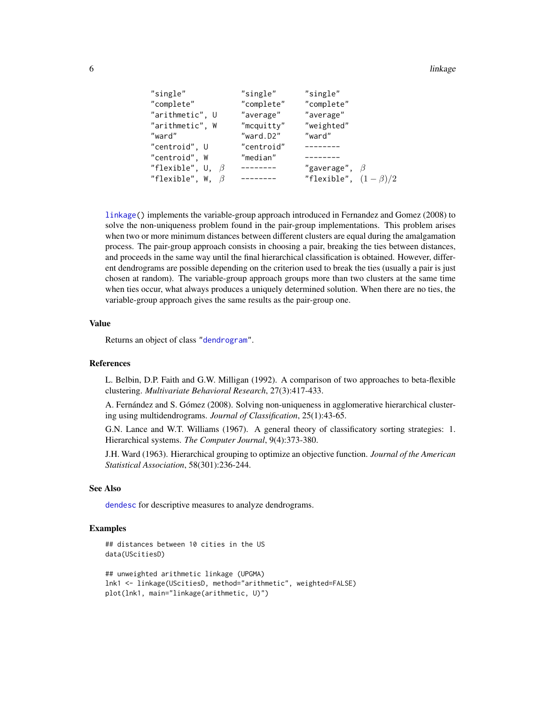#### <span id="page-5-0"></span>6 linkage block and the state of the state of the state of the state of the state of the state of the state of

```
"single" "single" "single"
"complete" "complete" "complete"
"arithmetic", U "average" "average"
"arithmetic", W "mcquitty" "weighted"
"ward" "ward.D2" "ward"
"centroid", U "centroid" --------
"centroid", W "median" --------
"flexible", U, \beta -------- "gaverage", \beta"flexible", W, \beta -------- "flexible", (1 - \beta)/2
```
[linkage\(](#page-3-1)) implements the variable-group approach introduced in Fernandez and Gomez (2008) to solve the non-uniqueness problem found in the pair-group implementations. This problem arises when two or more minimum distances between different clusters are equal during the amalgamation process. The pair-group approach consists in choosing a pair, breaking the ties between distances, and proceeds in the same way until the final hierarchical classification is obtained. However, different dendrograms are possible depending on the criterion used to break the ties (usually a pair is just chosen at random). The variable-group approach groups more than two clusters at the same time when ties occur, what always produces a uniquely determined solution. When there are no ties, the variable-group approach gives the same results as the pair-group one.

#### Value

Returns an object of class ["dendrogram"](#page-0-0).

#### References

L. Belbin, D.P. Faith and G.W. Milligan (1992). A comparison of two approaches to beta-flexible clustering. *Multivariate Behavioral Research*, 27(3):417-433.

A. Fernández and S. Gómez (2008). Solving non-uniqueness in agglomerative hierarchical clustering using multidendrograms. *Journal of Classification*, 25(1):43-65.

G.N. Lance and W.T. Williams (1967). A general theory of classificatory sorting strategies: 1. Hierarchical systems. *The Computer Journal*, 9(4):373-380.

J.H. Ward (1963). Hierarchical grouping to optimize an objective function. *Journal of the American Statistical Association*, 58(301):236-244.

#### See Also

[dendesc](#page-1-2) for descriptive measures to analyze dendrograms.

#### Examples

```
## distances between 10 cities in the US
data(UScitiesD)
```

```
## unweighted arithmetic linkage (UPGMA)
lnk1 <- linkage(UScitiesD, method="arithmetic", weighted=FALSE)
plot(lnk1, main="linkage(arithmetic, U)")
```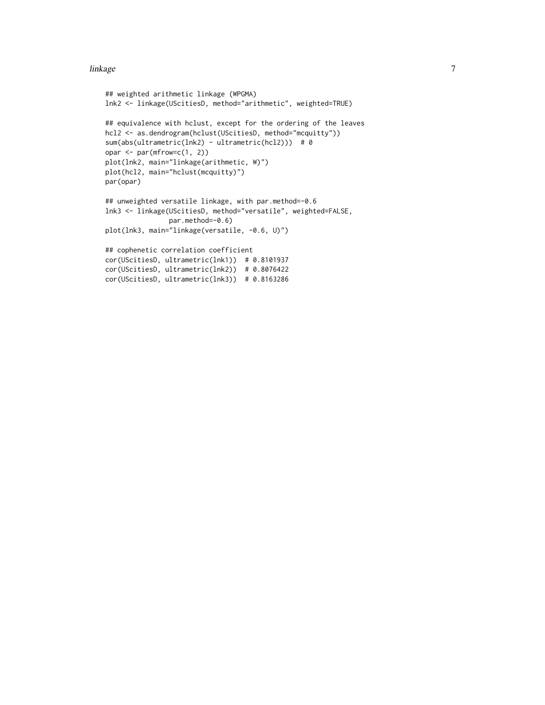#### linkage **7** and 2011 11 and 2012 12:00 the set of the set of the set of the set of the set of the set of the set of the set of the set of the set of the set of the set of the set of the set of the set of the set of the set

```
## weighted arithmetic linkage (WPGMA)
lnk2 <- linkage(UScitiesD, method="arithmetic", weighted=TRUE)
## equivalence with hclust, except for the ordering of the leaves
hcl2 <- as.dendrogram(hclust(UScitiesD, method="mcquitty"))
sum(abs(ultrametric(lnk2) - ultrametric(hcl2))) # 0
opar <- par(mfrow=c(1, 2))
plot(lnk2, main="linkage(arithmetic, W)")
plot(hcl2, main="hclust(mcquitty)")
par(opar)
## unweighted versatile linkage, with par.method=-0.6
lnk3 <- linkage(UScitiesD, method="versatile", weighted=FALSE,
                par.method=-0.6)
plot(lnk3, main="linkage(versatile, -0.6, U)")
## cophenetic correlation coefficient
cor(UScitiesD, ultrametric(lnk1)) # 0.8101937
cor(UScitiesD, ultrametric(lnk2)) # 0.8076422
cor(UScitiesD, ultrametric(lnk3)) # 0.8163286
```